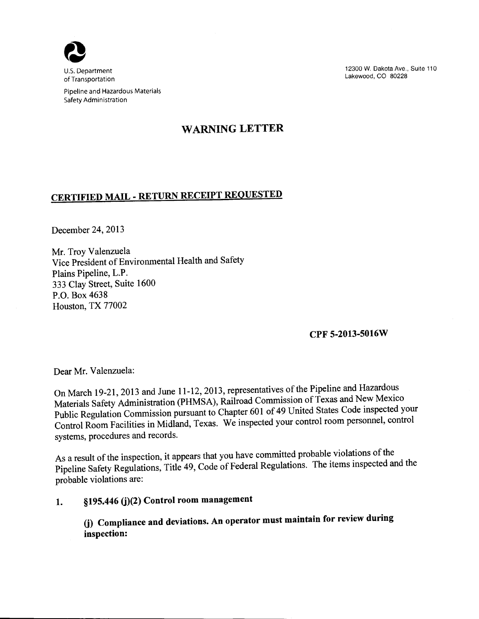

of Transportation

Pipeline and Hazardous Materials Safety Administration

12300 W. Dakota Ave., Suite 110 Lakewood, CO 80228

# **WARNING LETTER**

# **CERTIFIED MAIL- RETURN RECEIPT REQUESTED**

December 24,2013

Mr. Troy Valenzuela Vice President of Environmental Health and Safety Plains Pipeline, L.P. 333 Clay Street, Suite 1600 P.O. Box 4638 Houston, TX 77002

## **CPF 5-2013-5016W**

Dear Mr. Valenzuela:

On March 19-21, 2013 and June 11-12, 2013, representatives of the Pipeline and Hazardous Materials Safety Administration (PHMSA), Railroad Commission of Texas and New Mexico Public Regulation Commission pursuant to Chapter 601 of 49 United States Code inspected your Control Room Facilities in Midland, Texas. We inspected your control room personnel, control systems, procedures and records.

As a result of the inspection, it appears that you have committed probable violations of the Pipeline Safety Regulations, Title 49, Code of Federal Regulations. The items inspected and the probable violations are:

## 1. §195.446 (j)(2) Control room management

**G) Compliance and deviations. An operator must maintain for review during inspection:**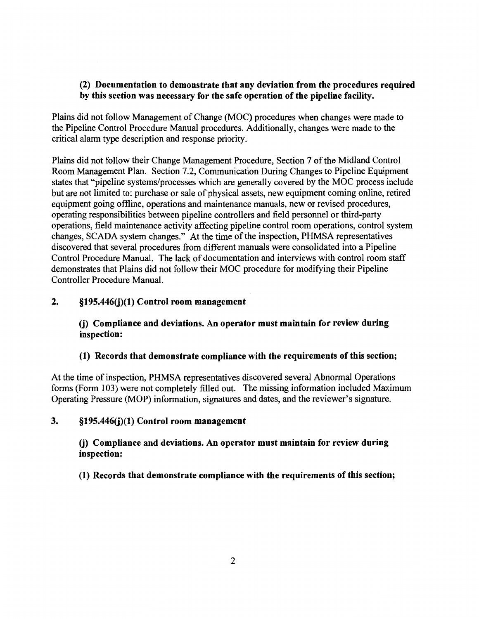## (2) Documentation to demonstrate that any deviation from the procedures required by this section was necessary for the safe operation of the pipeline facility.

Plains did not follow Management of Change (MOC) procedures when changes were made to the Pipeline Control Procedure Manual procedures. Additionally, changes were made to the critical alarm type description and response priority.

Plains did not follow their Change Management Procedure, Section 7 of the Midland Control Room Management Plan. Section 7.2, Communication During Changes to Pipeline Equipment states that "pipeline systems/processes which are generally covered by the MOC process include but are not limited to: purchase or sale of physical assets, new equipment coming online, retired equipment going offline, operations and maintenance manuals, new or revised procedures, operating responsibilities between pipeline controllers and field personnel or third-party operations, field maintenance activity affecting pipeline control room operations, control system changes, SCADA system changes." At the time of the inspection, PHMSA representatives discovered that several procedures from different manuals were consolidated into a Pipeline Control Procedure Manual. The lack of documentation and interviews with control room staff demonstrates that Plains did not follow their MOC procedure for modifying their Pipeline Controller Procedure Manual.

## 2. §195.446(j)(1) Control room management

## (j) Compliance and deviations. An operator must maintain for review during inspection:

#### (1) Records that demonstrate compliance with the requirements of this section;

At the time of inspection, PHMSA representatives discovered several Abnormal Operations forms (Form 103) were not completely filled out. The missing information included Maximum Operating Pressure (MOP) information, signatures and dates, and the reviewer's signature.

#### 3. §195.446(j)(1) Control room management

(j) Compliance and deviations. An operator must maintain for review during inspection:

(1) Records that demonstrate compliance with the requirements of this section;